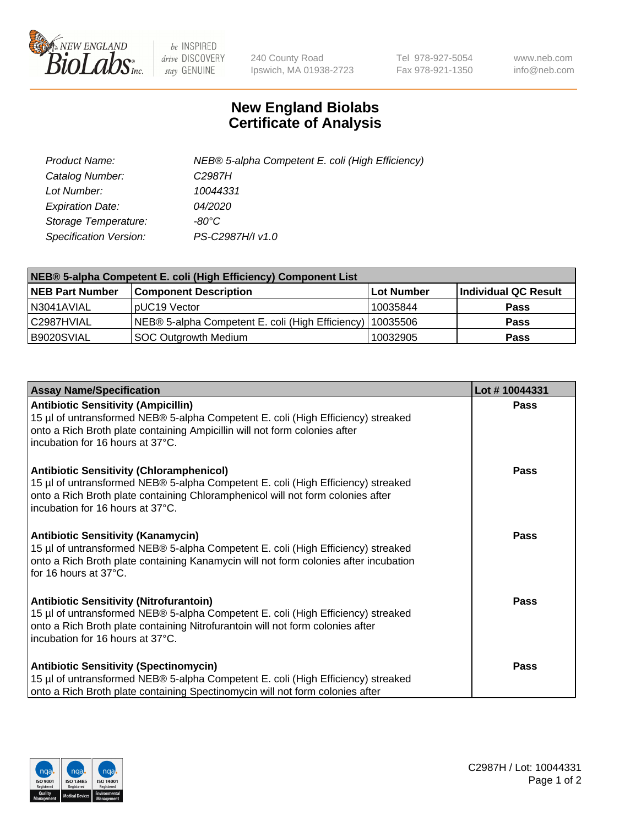

 $be$  INSPIRED drive DISCOVERY stay GENUINE

240 County Road Ipswich, MA 01938-2723 Tel 978-927-5054 Fax 978-921-1350 www.neb.com info@neb.com

## **New England Biolabs Certificate of Analysis**

| Product Name:           | NEB® 5-alpha Competent E. coli (High Efficiency) |
|-------------------------|--------------------------------------------------|
| Catalog Number:         | C <sub>2987</sub> H                              |
| Lot Number:             | 10044331                                         |
| <b>Expiration Date:</b> | <i>04/2020</i>                                   |
| Storage Temperature:    | -80°C                                            |
| Specification Version:  | PS-C2987H/I v1.0                                 |

| NEB® 5-alpha Competent E. coli (High Efficiency) Component List |                                                             |                   |                      |  |
|-----------------------------------------------------------------|-------------------------------------------------------------|-------------------|----------------------|--|
| <b>NEB Part Number</b>                                          | <b>Component Description</b>                                | <b>Lot Number</b> | Individual QC Result |  |
| N3041AVIAL                                                      | pUC19 Vector                                                | 10035844          | <b>Pass</b>          |  |
| C2987HVIAL                                                      | NEB® 5-alpha Competent E. coli (High Efficiency)   10035506 |                   | <b>Pass</b>          |  |
| B9020SVIAL                                                      | <b>SOC Outgrowth Medium</b>                                 | 10032905          | <b>Pass</b>          |  |

| <b>Assay Name/Specification</b>                                                                                                                                                                                                                            | Lot #10044331 |
|------------------------------------------------------------------------------------------------------------------------------------------------------------------------------------------------------------------------------------------------------------|---------------|
| <b>Antibiotic Sensitivity (Ampicillin)</b><br>15 µl of untransformed NEB® 5-alpha Competent E. coli (High Efficiency) streaked<br>onto a Rich Broth plate containing Ampicillin will not form colonies after<br>incubation for 16 hours at 37°C.           | <b>Pass</b>   |
| <b>Antibiotic Sensitivity (Chloramphenicol)</b><br>15 µl of untransformed NEB® 5-alpha Competent E. coli (High Efficiency) streaked<br>onto a Rich Broth plate containing Chloramphenicol will not form colonies after<br>incubation for 16 hours at 37°C. | Pass          |
| Antibiotic Sensitivity (Kanamycin)<br>15 µl of untransformed NEB® 5-alpha Competent E. coli (High Efficiency) streaked<br>onto a Rich Broth plate containing Kanamycin will not form colonies after incubation<br>for 16 hours at 37°C.                    | Pass          |
| <b>Antibiotic Sensitivity (Nitrofurantoin)</b><br>15 µl of untransformed NEB® 5-alpha Competent E. coli (High Efficiency) streaked<br>onto a Rich Broth plate containing Nitrofurantoin will not form colonies after<br>incubation for 16 hours at 37°C.   | <b>Pass</b>   |
| <b>Antibiotic Sensitivity (Spectinomycin)</b><br>15 µl of untransformed NEB® 5-alpha Competent E. coli (High Efficiency) streaked<br>onto a Rich Broth plate containing Spectinomycin will not form colonies after                                         | Pass          |